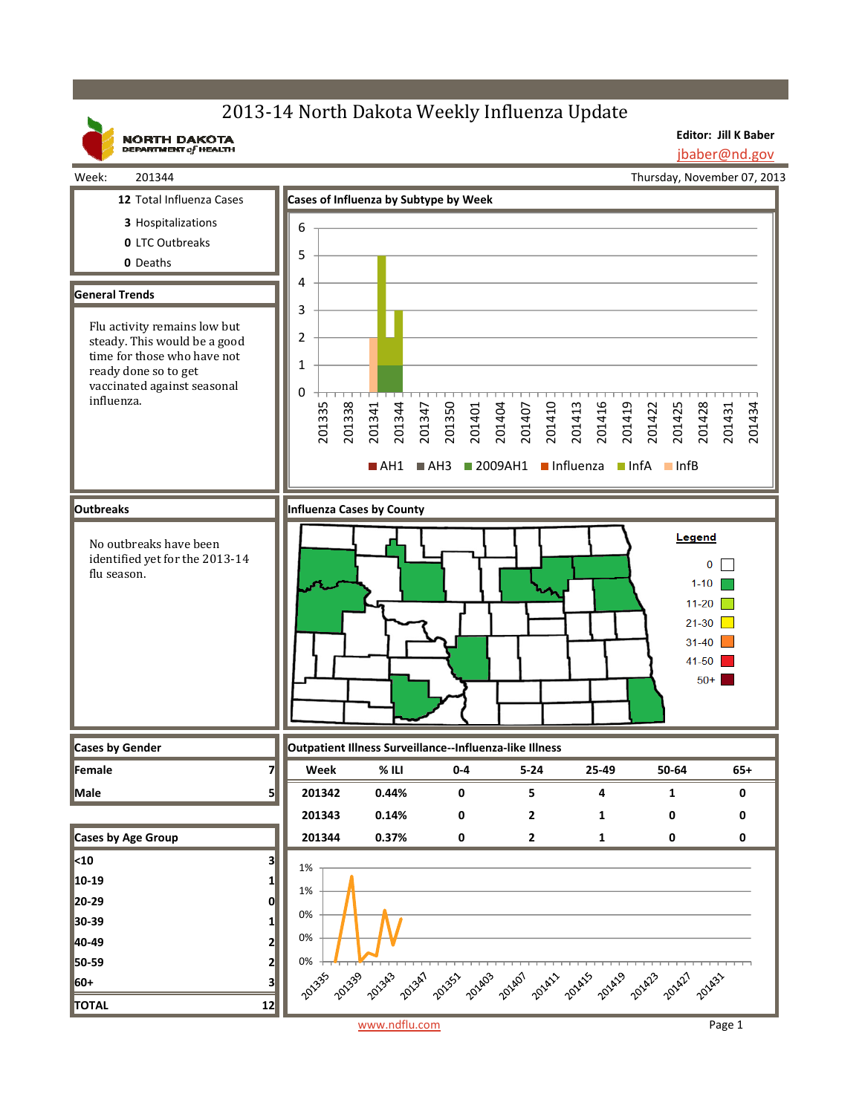## 2013-14 North Dakota Weekly Influenza Update

**Editor: Jill K Baber** jbaber@nd.gov